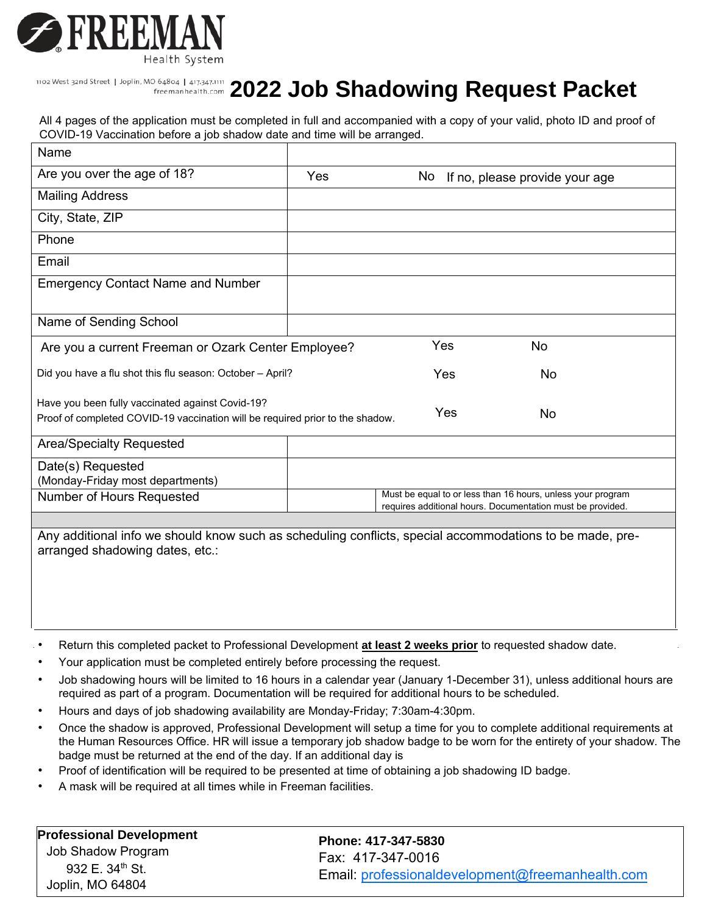

# **1102West 32nd Street | Joplin, MO 64804 | 417,347.1111 2022 Job Shadowing Request Packet**

| Name                                                                                                                                                                                                                                       |     |     |     |                                                                                                                           |
|--------------------------------------------------------------------------------------------------------------------------------------------------------------------------------------------------------------------------------------------|-----|-----|-----|---------------------------------------------------------------------------------------------------------------------------|
| Are you over the age of 18?                                                                                                                                                                                                                | Yes | No. |     | If no, please provide your age                                                                                            |
| <b>Mailing Address</b>                                                                                                                                                                                                                     |     |     |     |                                                                                                                           |
| City, State, ZIP                                                                                                                                                                                                                           |     |     |     |                                                                                                                           |
| Phone                                                                                                                                                                                                                                      |     |     |     |                                                                                                                           |
| Email                                                                                                                                                                                                                                      |     |     |     |                                                                                                                           |
| <b>Emergency Contact Name and Number</b>                                                                                                                                                                                                   |     |     |     |                                                                                                                           |
| Name of Sending School                                                                                                                                                                                                                     |     |     |     |                                                                                                                           |
| Are you a current Freeman or Ozark Center Employee?                                                                                                                                                                                        |     |     | Yes | <b>No</b>                                                                                                                 |
| Did you have a flu shot this flu season: October - April?                                                                                                                                                                                  |     |     | Yes | No                                                                                                                        |
| Have you been fully vaccinated against Covid-19?<br>Yes<br><b>No</b><br>Proof of completed COVID-19 vaccination will be required prior to the shadow.                                                                                      |     |     |     |                                                                                                                           |
| <b>Area/Specialty Requested</b>                                                                                                                                                                                                            |     |     |     |                                                                                                                           |
| Date(s) Requested                                                                                                                                                                                                                          |     |     |     |                                                                                                                           |
| (Monday-Friday 7:30 am-4 pm)                                                                                                                                                                                                               |     |     |     |                                                                                                                           |
| Number of Hours Requested                                                                                                                                                                                                                  |     |     |     | Must be equal to or less than 16 hours, unless your program requires<br>additional hours. Documentation must be provided. |
|                                                                                                                                                                                                                                            |     |     |     |                                                                                                                           |
| Any additional info we should know such as scheduling conflicts, special accommodations to be made, pre-<br>arranged shadowing dates, etc.:                                                                                                |     |     |     |                                                                                                                           |
| Return this completed packet to Professional Development at least 2 weeks prior to requested shadow date.                                                                                                                                  |     |     |     |                                                                                                                           |
| Your application must be completed with a copy of your photo ID and proof of COVID-19 vaccination included before your<br>shadow will be arranged ___ ignatures are not accepted                                                           |     |     |     |                                                                                                                           |
| Job shadowing hours will be limited to 16 hours in a calendar year (January 1-December 31), unless additional hours are<br>$\bullet$<br>re uired as part of a program/degree. Do mentation wi e re ired for additiona ho rs to e s hed ed. |     |     |     |                                                                                                                           |
| Hours and days of job shadowing are generally Monday-Friday; 7:30am-4:30pm. Departments may have varying days<br>$\bullet$<br>and times they are open for shadowing.                                                                       |     |     |     |                                                                                                                           |
| nce the shadow is annroved. Professional Development will setup a time for you to complete additional relationents at                                                                                                                      |     |     |     |                                                                                                                           |

- nce the shadow is approved, Professional Development will setup a time for you to complete additional re uirements at the uman esources Office will issue a temporary ob shadow badge to be worn for the entirety of your shadow he badge must be returned at the end of the day If an additional day is
- Proof of identification will be required to be presented at time of obtaining a job shadowing ID badge.
- mas will be re uired at all times while in reeman facilities.

| reeman                             | Job Shadow Program                              | Phone: 417-347-5830                                                   |
|------------------------------------|-------------------------------------------------|-----------------------------------------------------------------------|
| Professional<br><b>Development</b> | 932 E. 34 <sup>th</sup> St.<br>Joplin, MO 64804 | Fax: 417-347-0016<br>Email: professionaldevelopment@freemanhealth.com |
|                                    |                                                 |                                                                       |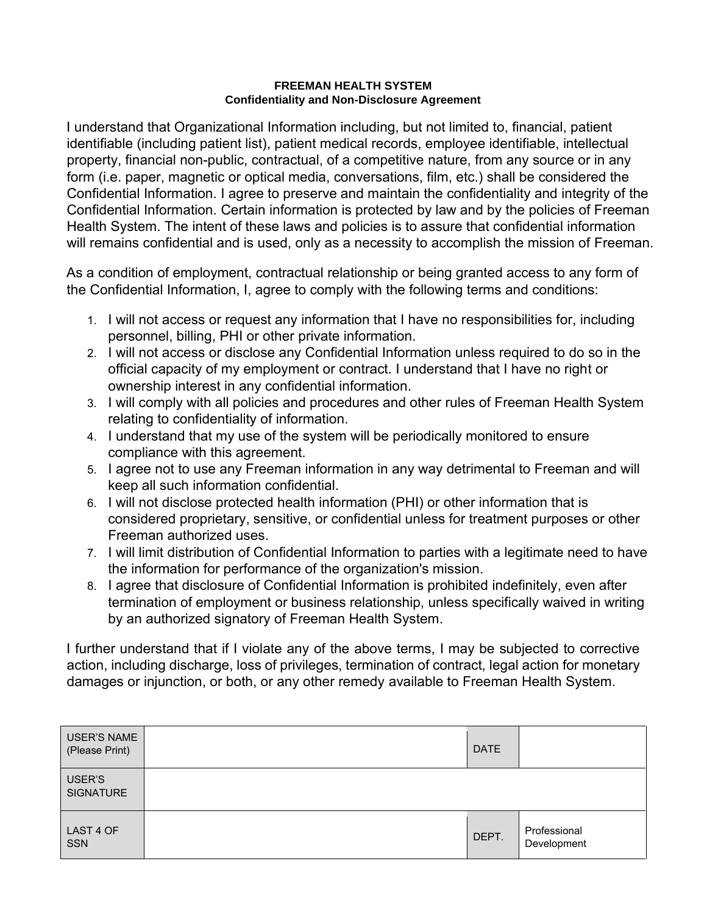# **FREEMAN HEALTH SYSTEM Confidentiality and Non-Disclosure Agreement**

I understand that Organizational Information including, but not limited to, financial, patient identifiable (including patient list), patient medical records, employee identifiable, intellectual property, financial non-public, contractual, of a competitive nature, from any source or in any form (i.e. paper, magnetic or optical media, conversations, film, etc.) shall be considered the Confidential Information. I agree to preserve and maintain the confidentiality and integrity of the Confidential Information. Certain information is protected by law and by the policies of Freeman Health System. The intent of these laws and policies is to assure that confidential information will remains confidential and is used, only as a necessity to accomplish the mission of Freeman.

As a condition of employment, contractual relationship or being granted access to any form of the Confidential Information, I, agree to comply with the following terms and conditions:

- 1. I will not access or request any information that I have no responsibilities for, including personnel, billing, PHI or other private information.
- 2. I will not access or disclose any Confidential Information unless required to do so in the official capacity of my employment or contract. I understand that I have no right or ownership interest in any confidential information.
- 3. I will comply with all policies and procedures and other rules of Freeman Health System relating to confidentiality of information.
- 4. I understand that my use of the system will be periodically monitored to ensure compliance with this agreement.
- 5. I agree not to use any Freeman information in any way detrimental to Freeman and will keep all such information confidential.
- 6. I will not disclose protected health information (PHI) or other information that is considered proprietary, sensitive, or confidential unless for treatment purposes or other Freeman authorized uses.
- 7. I will limit distribution of Confidential Information to parties with a legitimate need to have the information for performance of the organization's mission.
- 8. I agree that disclosure of Confidential Information is prohibited indefinitely, even after termination of employment or business relationship, unless specifically waived in writing by an authorized signatory of Freeman Health System.

I further understand that if I violate any of the above terms, I may be subjected to corrective action, including discharge, loss of privileges, termination of contract, legal action for monetary damages or injunction, or both, or any other remedy available to Freeman Health System.

| <b>Printed Name</b>                      | <b>DATE</b>                                       |                             |
|------------------------------------------|---------------------------------------------------|-----------------------------|
| Signature                                |                                                   |                             |
| LAST 4 OF<br>SSN                         | DEPT.                                             | Professional<br>Development |
| Parent/Legal<br>Guardian Printed<br>Name | Relationship<br>to person<br>requesting<br>shadow |                             |
| Parent/Legal<br>Guardian<br>Signature    |                                                   |                             |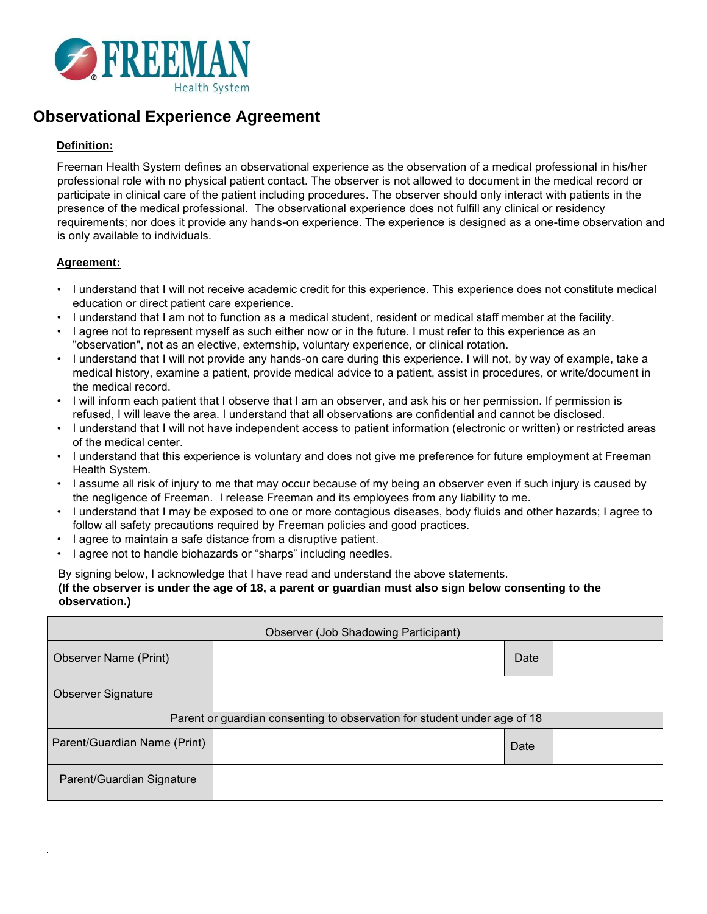

# **Observational Experience Agreement**

# **Definition:**

Freeman Health System defines an observational experience as the observation of a medical professional in his/her professional role with no physical patient contact. The observer is not allowed to document in the medical record or participate in clinical care of the patient including procedures. The observer should only interact with patients in the presence of the medical professional. The observational experience does not fulfill any clinical or residency requirements; nor does it provide any hands-on experience. The experience is unpaid and is designed as a one-time observation and is only available to individuals.

# **Agreement:**

- I understand that I will not receive academic credit for this experience. This experience does not constitute medical education or direct patient care experience.
- I understand that I am not to function as a medical student, resident or medical staff member at the facility.
- I agree not to represent myself as such either now or in the future. I must refer to this experience as an "observation", not as an elective, externship, voluntary experience, or clinical rotation.
- I understand that I will not provide any hands-on care during this experience. I will not, by way of example, take a medical history, examine a patient, provide medical advice to a patient, assist in procedures, or write/document in the medical record.
- I will inform each patient that I observe that I am an observer, and ask his or her permission. If permission is refused, I will leave the area. I understand that all observations are confidential and cannot be disclosed.
- I understand that I will not have independent access to patient information (electronic or written) or restricted areas of the medical center.
- I understand that this experience is voluntary and does not give me preference for future employment at Freeman Health System.
- I assume all risk of injury to me that may occur because of my being an observer even if such injury is caused by the negligence of Freeman. I release Freeman and its employees from any liability to me.
- I understand that I may be exposed to one or more contagious diseases, body fluids and other hazards; I agree to follow all safety precautions required by Freeman policies and good practices.
- I agree to maintain a safe distance from a disruptive patient.
- I agree not to handle biohazards or "sharps" including needles.

By signing below, I acknowledge that I have read and understand the above statements.

#### **(If the observer is under the age of 18, a parent or guardian must also sign below consenting to the observation.)**

| <b>Observer (Job Shadowing Participant)</b>                              |  |      |  |  |
|--------------------------------------------------------------------------|--|------|--|--|
| Observer Name (Print)                                                    |  | Date |  |  |
| <b>Observer Signature</b>                                                |  |      |  |  |
| Parent or guardian consenting to observation for student under age of 18 |  |      |  |  |
| Parent/Guardian Name (Print)                                             |  | Date |  |  |
| Parent/Guardian Signature                                                |  |      |  |  |